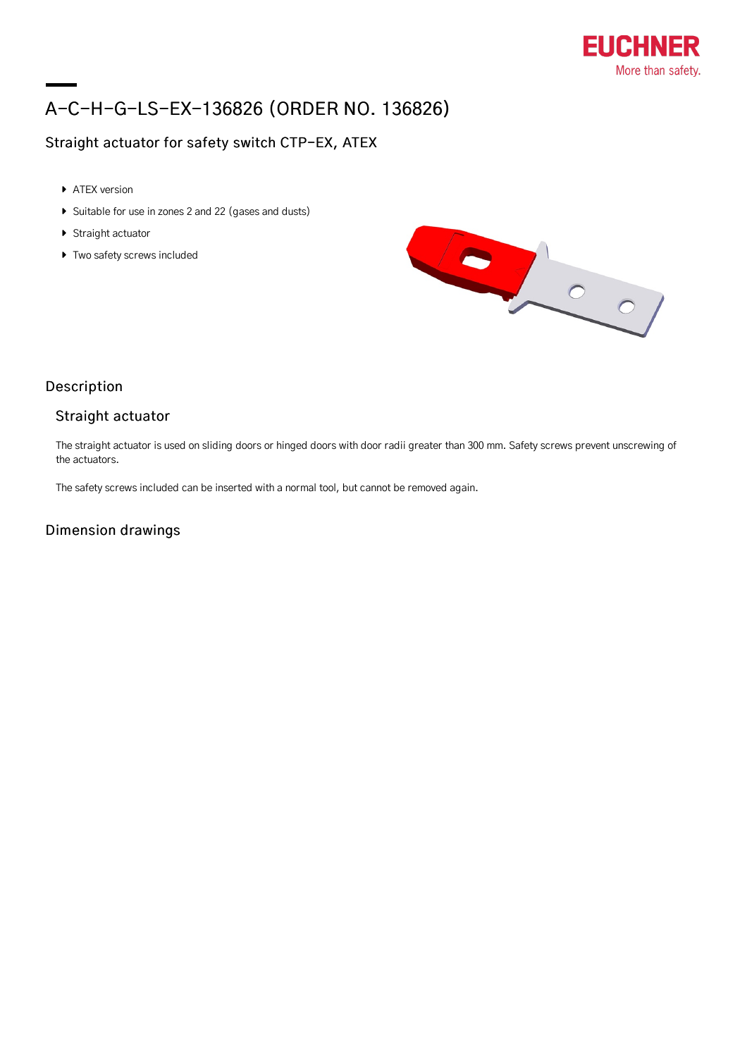

# A-C-H-G-LS-EX-136826 (ORDER NO. 136826)

## Straight actuator for safety switch CTP-EX, ATEX

- ATEX version
- Suitable for use in zones 2 and 22 (gases and dusts)
- ▶ Straight actuator
- $\triangleright$  Two safety screws included



### Description

#### Straight actuator

The straight actuator is used on sliding doors or hinged doors with door radii greater than 300 mm. Safety screws prevent unscrewing of the actuators.

The safety screws included can be inserted with a normal tool, but cannot be removed again.

#### Dimension drawings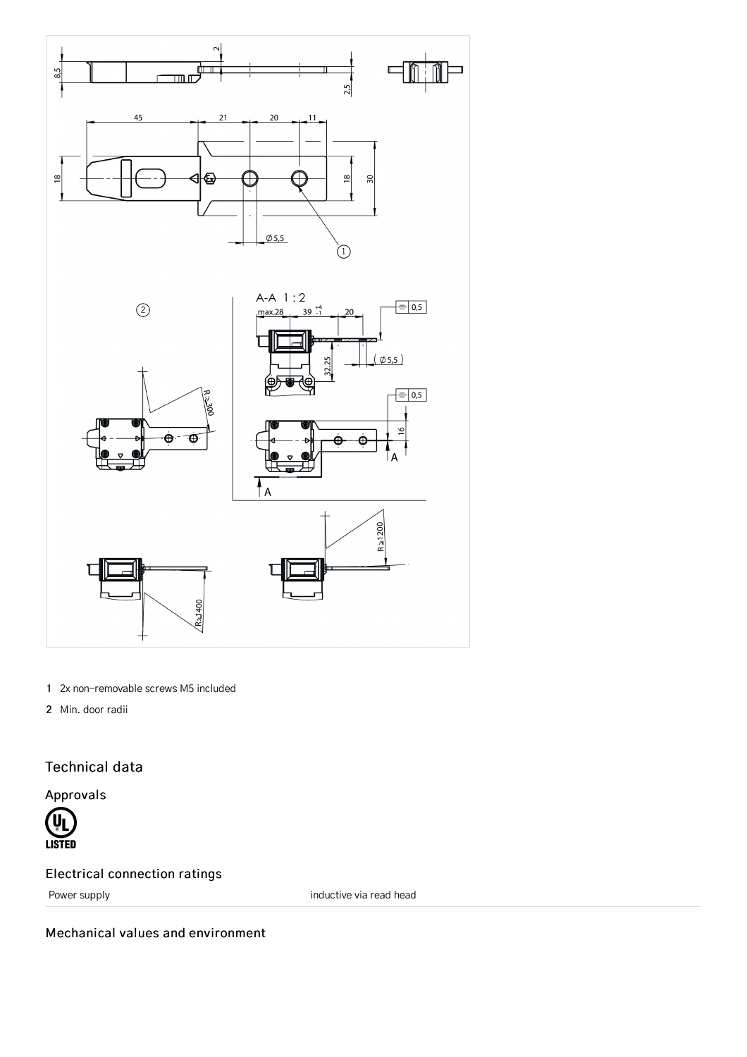

- 1 2x non-removable screws M5 included
- 2 Min. door radii

# Technical data

Approvals



# Electrical connection ratings

Power supply **imaging the contract of the contract of the contract of the contract of the contract of the contract of the contract of the contract of the contract of the contract of the contract of the contract of the cont** 

Mechanical values and environment